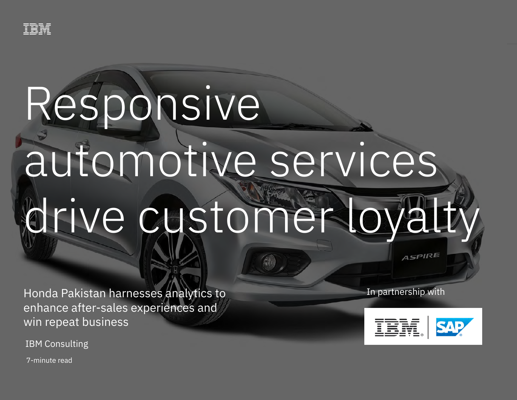

# Responsive

## automotive services drive customer loyalty

Honda Pakistan harnesses analytics to enhance after-sales experiences and win repeat business

IBM Consulting

In partnership with



**ASPIRE** 

7-minute read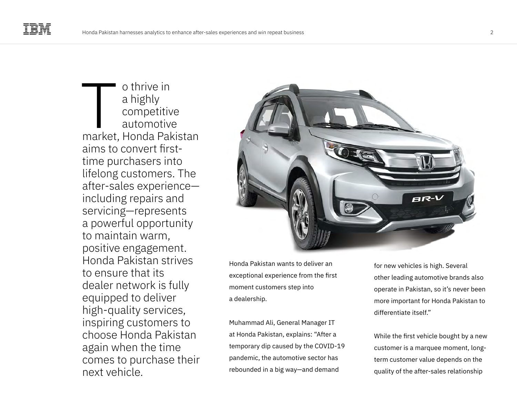o thrive in a highly competitive automotive o thrive in<br>
a highly<br>
competitive<br>
automotive<br>
market, Honda Pakistan aims to convert firsttime purchasers into lifelong customers. The after-sales experience including repairs and servicing—represents a powerful opportunity to maintain warm, positive engagement. Honda Pakistan strives to ensure that its dealer network is fully equipped to deliver high-quality services, inspiring customers to choose Honda Pakistan again when the time comes to purchase their next vehicle.



Honda Pakistan wants to deliver an exceptional experience from the first moment customers step into a dealership.

Muhammad Ali, General Manager IT at Honda Pakistan, explains: "After a temporary dip caused by the COVID-19 pandemic, the automotive sector has rebounded in a big way—and demand

for new vehicles is high. Several other leading automotive brands also operate in Pakistan, so it's never been more important for Honda Pakistan to differentiate itself."

While the first vehicle bought by a new customer is a marquee moment, longterm customer value depends on the quality of the after-sales relationship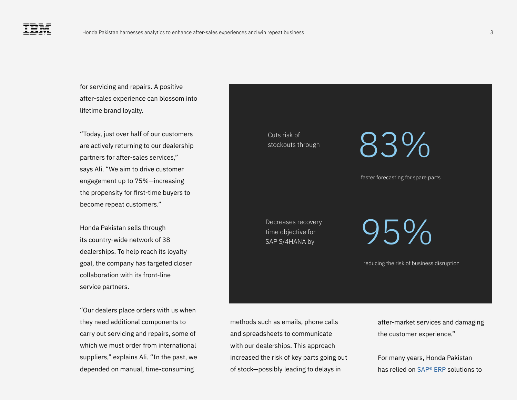for servicing and repairs. A positive after-sales experience can blossom into lifetime brand loyalty.

"Today, just over half of our customers are actively returning to our dealership partners for after-sales services," says Ali. "We aim to drive customer engagement up to 75%—increasing the propensity for first-time buyers to become repeat customers."

Honda Pakistan sells through its country-wide network of 38 dealerships. To help reach its loyalty goal, the company has targeted closer collaboration with its front-line service partners.

"Our dealers place orders with us when they need additional components to carry out servicing and repairs, some of which we must order from international suppliers," explains Ali. "In the past, we depended on manual, time-consuming

Cuts risk of stockouts through 83%

faster forecasting for spare parts

Decreases recovery<br>time objective for<br>and the content of the content of the content of the content of the content of the content of the content of the content of the content of the content of the content of the content of time objective for SAP S/4HANA by

reducing the risk of business disruption

methods such as emails, phone calls and spreadsheets to communicate with our dealerships. This approach increased the risk of key parts going out of stock—possibly leading to delays in

after-market services and damaging the customer experience."

For many years, Honda Pakistan has relied on [SAP® ERP](https://www.ibm.com/services/sap/s4hana) solutions to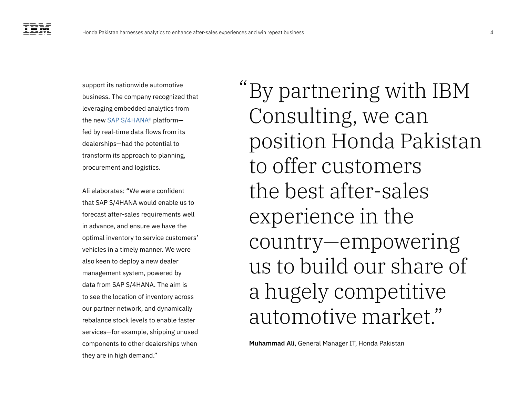support its nationwide automotive business. The company recognized that leveraging embedded analytics from the new [SAP S/4HANA®](https://www.ibm.com/services/sap/s4hana) platform fed by real-time data flows from its dealerships—had the potential to transform its approach to planning, procurement and logistics.

Ali elaborates: "We were confident that SAP S/4HANA would enable us to forecast after-sales requirements well in advance, and ensure we have the optimal inventory to service customers' vehicles in a timely manner. We were also keen to deploy a new dealer management system, powered by data from SAP S/4HANA. The aim is to see the location of inventory across our partner network, and dynamically rebalance stock levels to enable faster services—for example, shipping unused components to other dealerships when they are in high demand."

By partnering with IBM " Consulting, we can position Honda Pakistan to offer customers the best after-sales experience in the country—empowering us to build our share of a hugely competitive automotive market."

**Muhammad Ali**, General Manager IT, Honda Pakistan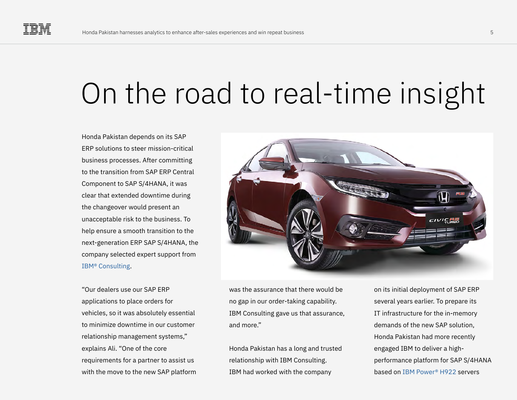### On the road to real-time insight

Honda Pakistan depends on its SAP ERP solutions to steer mission-critical business processes. After committing to the transition from SAP ERP Central Component to SAP S/4HANA, it was clear that extended downtime during the changeover would present an unacceptable risk to the business. To help ensure a smooth transition to the next-generation ERP SAP S/4HANA, the company selected expert support from [IBM® Consulting](https://www.ibm.com/consulting/).

"Our dealers use our SAP ERP applications to place orders for vehicles, so it was absolutely essential to minimize downtime in our customer relationship management systems," explains Ali. "One of the core requirements for a partner to assist us with the move to the new SAP platform



was the assurance that there would be no gap in our order-taking capability. IBM Consulting gave us that assurance, and more."

Honda Pakistan has a long and trusted relationship with IBM Consulting. IBM had worked with the company

on its initial deployment of SAP ERP several years earlier. To prepare its IT infrastructure for the in-memory demands of the new SAP solution, Honda Pakistan had more recently engaged IBM to deliver a highperformance platform for SAP S/4HANA based on [IBM Power® H922](https://www.ibm.com/it-infrastructure/power) servers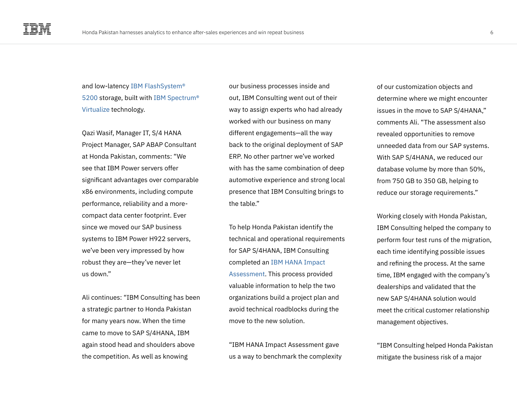and low-latency [IBM FlashSystem®](https://www.ibm.com/products/flashsystem-5200)  [5200](https://www.ibm.com/products/flashsystem-5200) storage, built with [IBM Spectrum®](https://www.ibm.com/it-infrastructure/storage/virtualization)  [Virtualize](https://www.ibm.com/it-infrastructure/storage/virtualization) technology.

Qazi Wasif, Manager IT, S/4 HANA Project Manager, SAP ABAP Consultant at Honda Pakistan, comments: "We see that IBM Power servers offer significant advantages over comparable x86 environments, including compute performance, reliability and a morecompact data center footprint. Ever since we moved our SAP business systems to IBM Power H922 servers, we've been very impressed by how robust they are—they've never let us down."

Ali continues: "IBM Consulting has been a strategic partner to Honda Pakistan for many years now. When the time came to move to SAP S/4HANA, IBM again stood head and shoulders above the competition. As well as knowing

our business processes inside and out, IBM Consulting went out of their way to assign experts who had already worked with our business on many different engagements—all the way back to the original deployment of SAP ERP. No other partner we've worked with has the same combination of deep automotive experience and strong local presence that IBM Consulting brings to the table."

To help Honda Pakistan identify the technical and operational requirements for SAP S/4HANA, IBM Consulting completed an [IBM HANA Impact](https://www.ibm.com/services/sap/s4hana)  [Assessment.](https://www.ibm.com/services/sap/s4hana) This process provided valuable information to help the two organizations build a project plan and avoid technical roadblocks during the move to the new solution.

"IBM HANA Impact Assessment gave us a way to benchmark the complexity of our customization objects and determine where we might encounter issues in the move to SAP S/4HANA," comments Ali. "The assessment also revealed opportunities to remove unneeded data from our SAP systems. With SAP S/4HANA, we reduced our database volume by more than 50%, from 750 GB to 350 GB, helping to reduce our storage requirements."

Working closely with Honda Pakistan, IBM Consulting helped the company to perform four test runs of the migration, each time identifying possible issues and refining the process. At the same time, IBM engaged with the company's dealerships and validated that the new SAP S/4HANA solution would meet the critical customer relationship management objectives.

"IBM Consulting helped Honda Pakistan mitigate the business risk of a major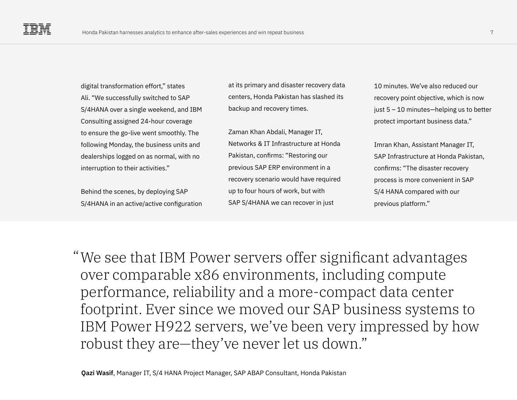digital transformation effort," states Ali. "We successfully switched to SAP S/4HANA over a single weekend, and IBM Consulting assigned 24-hour coverage to ensure the go-live went smoothly. The following Monday, the business units and dealerships logged on as normal, with no interruption to their activities."

Behind the scenes, by deploying SAP S/4HANA in an active/active configuration at its primary and disaster recovery data centers, Honda Pakistan has slashed its backup and recovery times.

Zaman Khan Abdali, Manager IT, Networks & IT Infrastructure at Honda Pakistan, confirms: "Restoring our previous SAP ERP environment in a recovery scenario would have required up to four hours of work, but with SAP S/4HANA we can recover in just

10 minutes. We've also reduced our recovery point objective, which is now just 5 – 10 minutes—helping us to better protect important business data."

Imran Khan, Assistant Manager IT, SAP Infrastructure at Honda Pakistan, confirms: "The disaster recovery process is more convenient in SAP S/4 HANA compared with our previous platform."

We see that IBM Power servers offer significant advantages " over comparable x86 environments, including compute performance, reliability and a more-compact data center footprint. Ever since we moved our SAP business systems to IBM Power H922 servers, we've been very impressed by how robust they are—they've never let us down."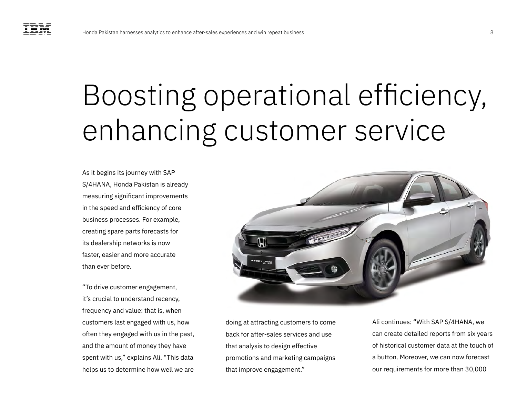### Boosting operational efficiency, enhancing customer service

As it begins its journey with SAP S/4HANA, Honda Pakistan is already measuring significant improvements in the speed and efficiency of core business processes. For example, creating spare parts forecasts for its dealership networks is now faster, easier and more accurate than ever before.

"To drive customer engagement, it's crucial to understand recency, frequency and value: that is, when customers last engaged with us, how often they engaged with us in the past, and the amount of money they have spent with us," explains Ali. "This data helps us to determine how well we are



doing at attracting customers to come back for after-sales services and use that analysis to design effective promotions and marketing campaigns that improve engagement."

Ali continues: "With SAP S/4HANA, we can create detailed reports from six years of historical customer data at the touch of a button. Moreover, we can now forecast our requirements for more than 30,000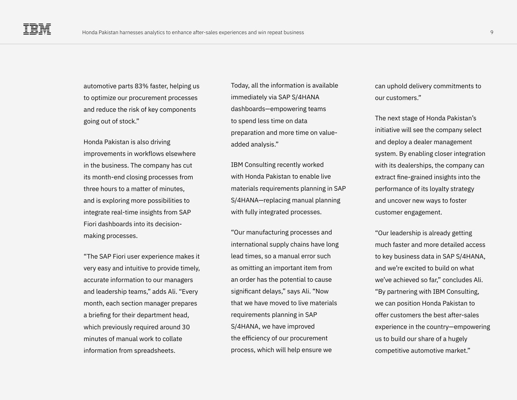automotive parts 83% faster, helping us to optimize our procurement processes and reduce the risk of key components going out of stock."

Honda Pakistan is also driving improvements in workflows elsewhere in the business. The company has cut its month-end closing processes from three hours to a matter of minutes, and is exploring more possibilities to integrate real-time insights from SAP Fiori dashboards into its decisionmaking processes.

"The SAP Fiori user experience makes it very easy and intuitive to provide timely, accurate information to our managers and leadership teams," adds Ali. "Every month, each section manager prepares a briefing for their department head, which previously required around 30 minutes of manual work to collate information from spreadsheets.

Today, all the information is available immediately via SAP S/4HANA dashboards—empowering teams to spend less time on data preparation and more time on valueadded analysis."

IBM Consulting recently worked with Honda Pakistan to enable live materials requirements planning in SAP S/4HANA—replacing manual planning with fully integrated processes.

"Our manufacturing processes and international supply chains have long lead times, so a manual error such as omitting an important item from an order has the potential to cause significant delays," says Ali. "Now that we have moved to live materials requirements planning in SAP S/4HANA, we have improved the efficiency of our procurement process, which will help ensure we

can uphold delivery commitments to our customers."

The next stage of Honda Pakistan's initiative will see the company select and deploy a dealer management system. By enabling closer integration with its dealerships, the company can extract fine-grained insights into the performance of its loyalty strategy and uncover new ways to foster customer engagement.

"Our leadership is already getting much faster and more detailed access to key business data in SAP S/4HANA, and we're excited to build on what we've achieved so far," concludes Ali. "By partnering with IBM Consulting, we can position Honda Pakistan to offer customers the best after-sales experience in the country—empowering us to build our share of a hugely competitive automotive market."